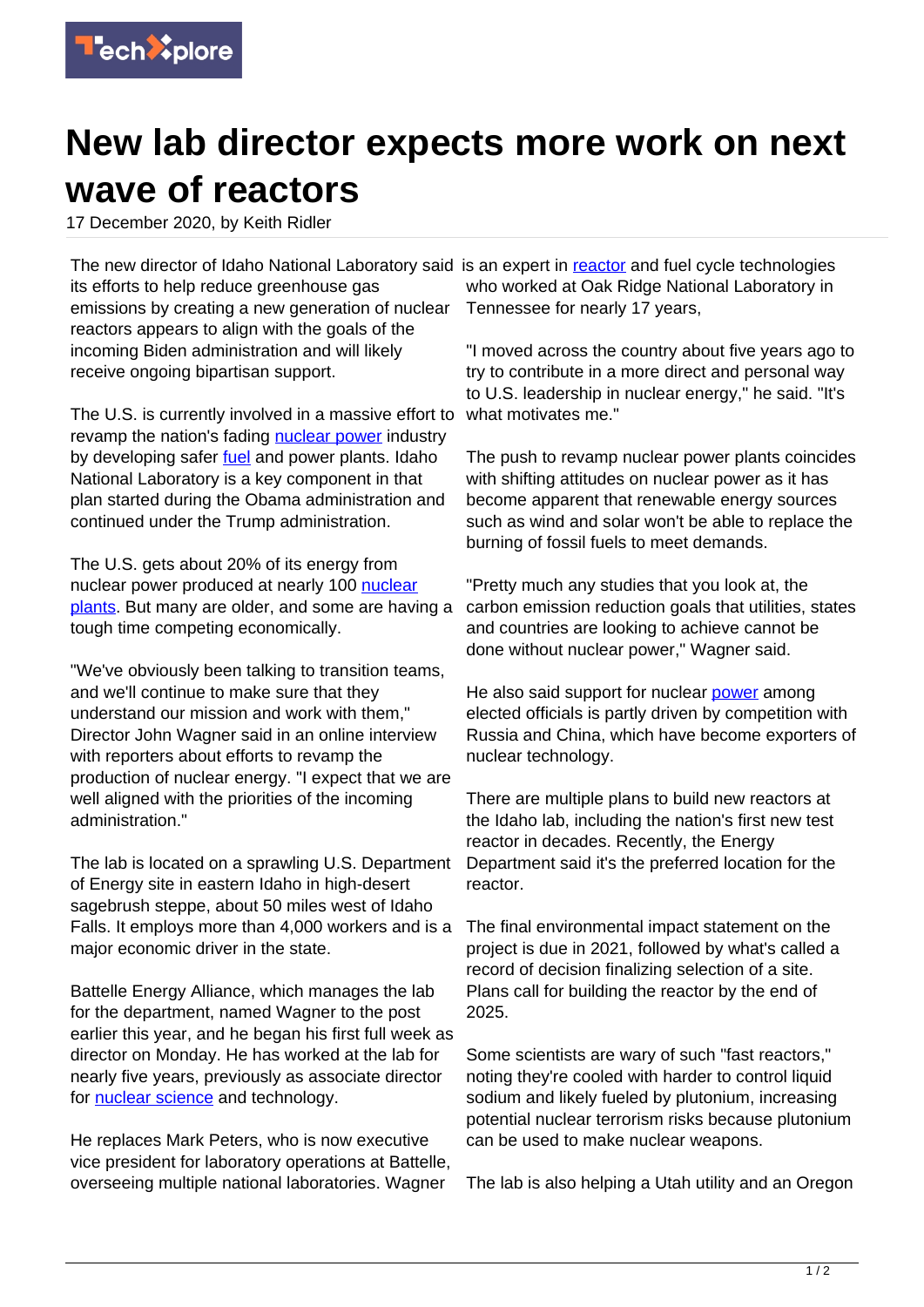

## **New lab director expects more work on next wave of reactors**

17 December 2020, by Keith Ridler

The new director of Idaho National Laboratory said is an expert in **reactor** and fuel cycle technologies its efforts to help reduce greenhouse gas emissions by creating a new generation of nuclear reactors appears to align with the goals of the incoming Biden administration and will likely receive ongoing bipartisan support.

The U.S. is currently involved in a massive effort to revamp the nation's fading [nuclear power](https://techxplore.com/tags/nuclear+power/) industry by developing safer [fuel](https://techxplore.com/tags/fuel/) and power plants. Idaho National Laboratory is a key component in that plan started during the Obama administration and continued under the Trump administration.

The U.S. gets about 20% of its energy from nuclear power produced at nearly 100 [nuclear](https://techxplore.com/tags/nuclear+plants/) [plants.](https://techxplore.com/tags/nuclear+plants/) But many are older, and some are having a tough time competing economically.

"We've obviously been talking to transition teams, and we'll continue to make sure that they understand our mission and work with them," Director John Wagner said in an online interview with reporters about efforts to revamp the production of nuclear energy. "I expect that we are well aligned with the priorities of the incoming administration."

The lab is located on a sprawling U.S. Department of Energy site in eastern Idaho in high-desert sagebrush steppe, about 50 miles west of Idaho Falls. It employs more than 4,000 workers and is a major economic driver in the state.

Battelle Energy Alliance, which manages the lab for the department, named Wagner to the post earlier this year, and he began his first full week as director on Monday. He has worked at the lab for nearly five years, previously as associate director for **nuclear science** and technology.

He replaces Mark Peters, who is now executive vice president for laboratory operations at Battelle, overseeing multiple national laboratories. Wagner

who worked at Oak Ridge National Laboratory in Tennessee for nearly 17 years,

"I moved across the country about five years ago to try to contribute in a more direct and personal way to U.S. leadership in nuclear energy," he said. "It's what motivates me."

The push to revamp nuclear power plants coincides with shifting attitudes on nuclear power as it has become apparent that renewable energy sources such as wind and solar won't be able to replace the burning of fossil fuels to meet demands.

"Pretty much any studies that you look at, the carbon emission reduction goals that utilities, states and countries are looking to achieve cannot be done without nuclear power," Wagner said.

He also said support for nuclear [power](https://techxplore.com/tags/power/) among elected officials is partly driven by competition with Russia and China, which have become exporters of nuclear technology.

There are multiple plans to build new reactors at the Idaho lab, including the nation's first new test reactor in decades. Recently, the Energy Department said it's the preferred location for the reactor.

The final environmental impact statement on the project is due in 2021, followed by what's called a record of decision finalizing selection of a site. Plans call for building the reactor by the end of 2025.

Some scientists are wary of such "fast reactors," noting they're cooled with harder to control liquid sodium and likely fueled by plutonium, increasing potential nuclear terrorism risks because plutonium can be used to make nuclear weapons.

The lab is also helping a Utah utility and an Oregon